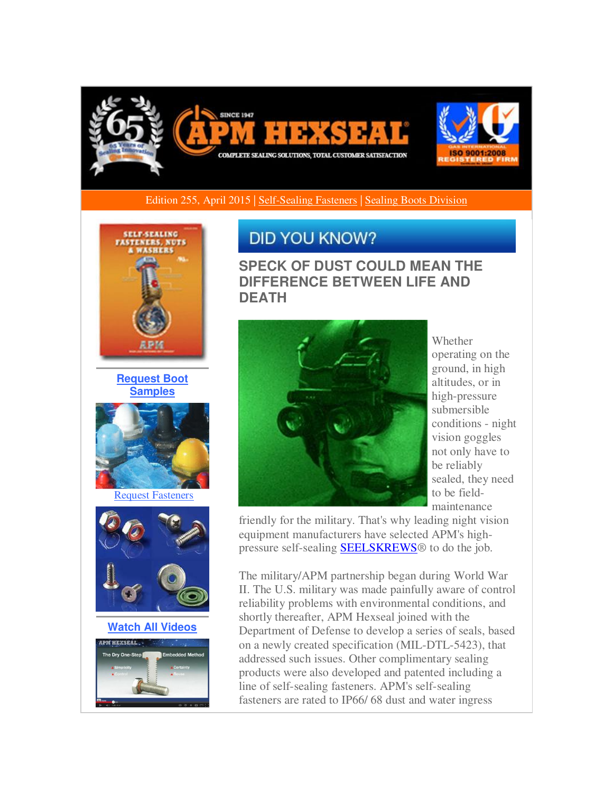

Edition 255, April 2015 | [Self-Sealing Fasteners](http://r20.rs6.net/tn.jsp?f=001PFHfpVQONkj0n4DWx6J_KpdGHXsYuDtIukWAUy7PaiuzWCHg3enLb0Mfly0eAoQg9G2_0Jl0Q9iDIvBL8pH6EDZLiKM_JFe_G0KTv8KgrYKJiWFz5lxsHnCzkp8WV2z_YqkKkV9jEtbJ5ShcDvvSw0Vu4e92-thPkqMB96fOoPa1-9AObcznV582qU7qkIOqGfKNiQ6ee-tL0FWJmKT_eJkBn-OTaujPtvV2MwuZeZ06flIcrB2yVyV1KueVTU4Po9UPSjOCyfFow9Aapb2Gj7kH7qv3DrqS0mlXxjNwBo4wwX9nZoKdosOHgFd6F4WA&c=yOg_T9vOXIKb9DrVIMrEW-Sas7lb_eDytTqzlBravD1MPeatu-783A==&ch=BNGRJ6arI9zKfJOpFQA2ywwLt9BPH2_aWHawCHWPQXyT3DpaOCgiEg==) [| Sealing Boots Division](http://r20.rs6.net/tn.jsp?f=001PFHfpVQONkj0n4DWx6J_KpdGHXsYuDtIukWAUy7PaiuzWCHg3enLb0Mfly0eAoQglrGtCUZhLspF95-kqDSEnkBPoBZ-G07YJgdeGYGwE6zwk-dubXOsZLCJQfcu00KDUk8WvIaaYxkYYzbFpceGnNUzMBLXPz46v5paFdIoVWs2TLAaRXYngCevg5Mw1jjyM6lFpAwTrIhQcnoAxw5-DuwdIapEXZE769vdJm_Fd3cSU1f-Xitr5aSOtWIy-d_rAw-NxGeQyjyoa2VRGmHxvvWSgktnWJGAxoF4haEgnbV19TI8738cEQ==&c=yOg_T9vOXIKb9DrVIMrEW-Sas7lb_eDytTqzlBravD1MPeatu-783A==&ch=BNGRJ6arI9zKfJOpFQA2ywwLt9BPH2_aWHawCHWPQXyT3DpaOCgiEg==) 



**[Request Boot](http://r20.rs6.net/tn.jsp?f=001PFHfpVQONkj0n4DWx6J_KpdGHXsYuDtIukWAUy7PaiuzWCHg3enLb0Mfly0eAoQgVp7syFj8Xg3ugED-4JZWvVu0ICCY1AUY7Wx0ZWJdrXgxxlITStdk1uHmAeyv70Y-cJXsf9JZGQEnCgfBfjSHxebhAyQeEeeE_nfcfUbQUaDqI6En44DBBUrCeSyddoiJJE6ZHYqCbS0UtDCPn3Hn_HVPbSlzgsamJmPvb_VWx5M_F61GblnSF31Ax_dLc39anQ1ivbp2DPoT6Opc3_sGEu1pj1BrOulc3DPcm3eJo-feuiWlqVsu9aIppQ9wC_Yj&c=yOg_T9vOXIKb9DrVIMrEW-Sas7lb_eDytTqzlBravD1MPeatu-783A==&ch=BNGRJ6arI9zKfJOpFQA2ywwLt9BPH2_aWHawCHWPQXyT3DpaOCgiEg==)  [Samples](http://r20.rs6.net/tn.jsp?f=001PFHfpVQONkj0n4DWx6J_KpdGHXsYuDtIukWAUy7PaiuzWCHg3enLb0Mfly0eAoQgVp7syFj8Xg3ugED-4JZWvVu0ICCY1AUY7Wx0ZWJdrXgxxlITStdk1uHmAeyv70Y-cJXsf9JZGQEnCgfBfjSHxebhAyQeEeeE_nfcfUbQUaDqI6En44DBBUrCeSyddoiJJE6ZHYqCbS0UtDCPn3Hn_HVPbSlzgsamJmPvb_VWx5M_F61GblnSF31Ax_dLc39anQ1ivbp2DPoT6Opc3_sGEu1pj1BrOulc3DPcm3eJo-feuiWlqVsu9aIppQ9wC_Yj&c=yOg_T9vOXIKb9DrVIMrEW-Sas7lb_eDytTqzlBravD1MPeatu-783A==&ch=BNGRJ6arI9zKfJOpFQA2ywwLt9BPH2_aWHawCHWPQXyT3DpaOCgiEg==)**



[Request Fasteners](http://r20.rs6.net/tn.jsp?f=001PFHfpVQONkj0n4DWx6J_KpdGHXsYuDtIukWAUy7PaiuzWCHg3enLb0Mfly0eAoQgA2Nq62j-QhJeVNY_bS3i97dMGOTb_OSN6_DEUT7O9DhZbOQqQrsQMXdyAztvSvU8PbnHvdAZnecWJJ8RLcOuOHLhGHNI_PYB-XiSugvUUhjcZ6R_5NTV5GfpwSSXHOjd-Ne4tGPUFJZ6IPN_lIEmmWzFQlG3WgnP2Y8REPK2vHdI0e6hIY66mqOl2mxYC8zAfB80d2AzZfeBIXSdzWC2VbFChWDrTOXcaDP862kYSKKzJBL_Ng1t2g==&c=yOg_T9vOXIKb9DrVIMrEW-Sas7lb_eDytTqzlBravD1MPeatu-783A==&ch=BNGRJ6arI9zKfJOpFQA2ywwLt9BPH2_aWHawCHWPQXyT3DpaOCgiEg==)



**[Watch All Videos](http://r20.rs6.net/tn.jsp?f=001PFHfpVQONkj0n4DWx6J_KpdGHXsYuDtIukWAUy7PaiuzWCHg3enLb0Mfly0eAoQgBa00dtlm8OrYb-hRZYXoHPO0OpG9empeVYSsEgT_VsSN_FGzbzCXOzZcXRjccErSJjeR5szTC07__Cp8y42Drfxxx4on2ynqMAn-vhEoAfdjyK5M0PsnvFbuHBU6cw5cRye4FSD3DFbgqb3gHx3HJAVbCjZiTJq_BhWHJ2Q8zRFc76MsbHpkD-RouOeb4GekVigd7Fp0GHbRpK26bvx34lohm8ay_MVzcSRyYGZlgzQ=&c=yOg_T9vOXIKb9DrVIMrEW-Sas7lb_eDytTqzlBravD1MPeatu-783A==&ch=BNGRJ6arI9zKfJOpFQA2ywwLt9BPH2_aWHawCHWPQXyT3DpaOCgiEg==)**



## **DID YOU KNOW?**

**SPECK OF DUST COULD MEAN THE DIFFERENCE BETWEEN LIFE AND DEATH**



Whether operating on the ground, in high altitudes, or in high-pressure submersible conditions - night vision goggles not only have to be reliably sealed, they need to be fieldmaintenance

friendly for the military. That's why leading night vision equipment manufacturers have selected APM's highpressure self-sealing **SEELSKREWS®** to do the job.

The military/APM partnership began during World War II. The U.S. military was made painfully aware of control reliability problems with environmental conditions, and shortly thereafter, APM Hexseal joined with the Department of Defense to develop a series of seals, based on a newly created specification (MIL-DTL-5423), that addressed such issues. Other complimentary sealing products were also developed and patented including a line of self-sealing fasteners. APM's self-sealing fasteners are rated to IP66/ 68 dust and water ingress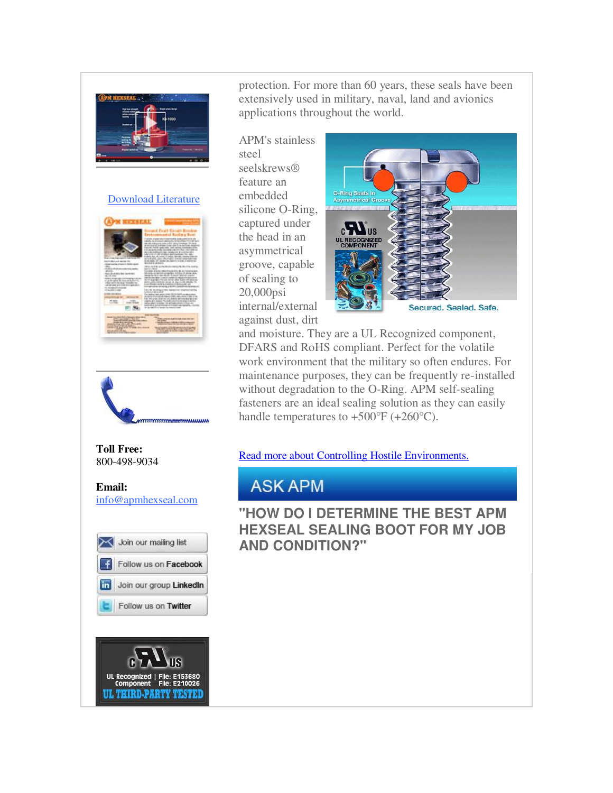

## [Download Literature](http://r20.rs6.net/tn.jsp?f=001PFHfpVQONkj0n4DWx6J_KpdGHXsYuDtIukWAUy7PaiuzWCHg3enLb0Mfly0eAoQgIsqwTd9NP-Tdcpr3NglcY0bb_Y2OcLL_NNjHYPNToH_u1EVMkTJwyN_lHA4ZADoOBX0GNXQEdR_0E0sX8Q-mLEsoCr87IzcuZGms4L7kmrH96J4JbVqQx0XqrDuW1ILw_4pRcvikZNK4mfTKkPtrQ1qvh36qLjyshNtXpNbkLs48f75o7joFEOzHAMHu1eYYVOt0r5K_-HlYjCrsGGG56wChLLc0_DUGG_GClm94zLo=&c=yOg_T9vOXIKb9DrVIMrEW-Sas7lb_eDytTqzlBravD1MPeatu-783A==&ch=BNGRJ6arI9zKfJOpFQA2ywwLt9BPH2_aWHawCHWPQXyT3DpaOCgiEg==)





## **Toll Free:**  800-498-9034

**Email:** [info@apmhexseal.com](mailto:info@apmhexseal.com)





protection. For more than 60 years, these seals have been extensively used in military, naval, land and avionics applications throughout the world.

APM's stainless steel seelskrews® feature an embedded silicone O-Ring, captured under the head in an asymmetrical groove, capable of sealing to 20,000psi internal/external against dust, dirt



and moisture. They are a UL Recognized component, DFARS and RoHS compliant. Perfect for the volatile work environment that the military so often endures. For maintenance purposes, they can be frequently re-installed without degradation to the O-Ring. APM self-sealing fasteners are an ideal sealing solution as they can easily handle temperatures to  $+500^{\circ}F (+260^{\circ}C)$ .

[Read more about Controlling Hostile Environments.](http://r20.rs6.net/tn.jsp?f=001PFHfpVQONkj0n4DWx6J_KpdGHXsYuDtIukWAUy7PaiuzWCHg3enLb9Qr6wa62DERL3cmGR9eVmtj672OaHIChoNV65WrBBaIl3DKaP2H_qaYZtD9ZoCv3UPKFhmVVCkdJ1RpLaxSlz5KUR2_xNGW4vZc0KGMYi-gM7xgAERHy_SjLeOwANjUV163KF0tV47yxHdurH6aGqQ2AMFtfINKuG9LBbu2m7fptc1NGc0pIbFJaOT57_Fk71lxOfeWo7FsXPStU2s8_B8xjoWrcNpXPavQw8IPy4Knf7yKwpIt-Mcxjy6B7kWGZWu7SO77GcL-rbjAP6GhK4B3q-GbNNYhBpvehtLO7js2N9iaK-28T-acdx5pTGvYIQ==&c=yOg_T9vOXIKb9DrVIMrEW-Sas7lb_eDytTqzlBravD1MPeatu-783A==&ch=BNGRJ6arI9zKfJOpFQA2ywwLt9BPH2_aWHawCHWPQXyT3DpaOCgiEg==) 

## **ASK APM**

**"HOW DO I DETERMINE THE BEST APM HEXSEAL SEALING BOOT FOR MY JOB AND CONDITION?"**